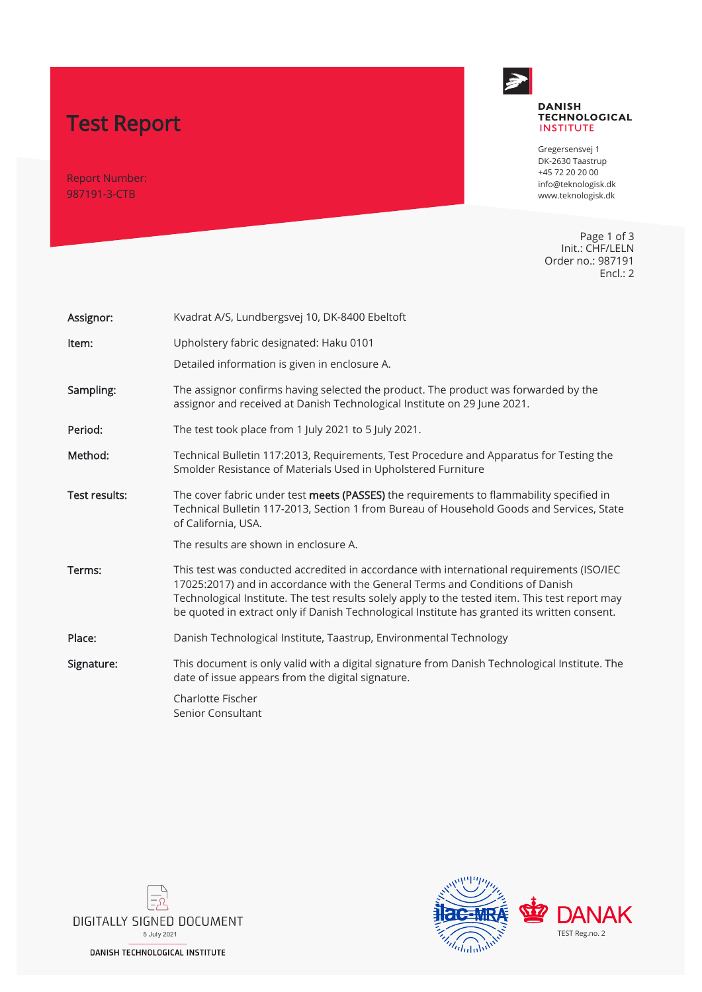# Test Report

Report Number: 987191-3-CTB



#### **DANISH TECHNOLOGICAL INSTITUTE**

Gregersensvej 1 DK-2630 Taastrup +45 72 20 20 00 info@teknologisk.dk www.teknologisk.dk

Page 1 of 3 Init.: CHF/LELN Order no.: 987191 Encl.: 2

| Assignor:            | Kvadrat A/S, Lundbergsvej 10, DK-8400 Ebeltoft                                                                                                                                                                                                                                                                                                                                |
|----------------------|-------------------------------------------------------------------------------------------------------------------------------------------------------------------------------------------------------------------------------------------------------------------------------------------------------------------------------------------------------------------------------|
| Item:                | Upholstery fabric designated: Haku 0101                                                                                                                                                                                                                                                                                                                                       |
|                      | Detailed information is given in enclosure A.                                                                                                                                                                                                                                                                                                                                 |
| Sampling:            | The assignor confirms having selected the product. The product was forwarded by the<br>assignor and received at Danish Technological Institute on 29 June 2021.                                                                                                                                                                                                               |
| Period:              | The test took place from 1 July 2021 to 5 July 2021.                                                                                                                                                                                                                                                                                                                          |
| Method:              | Technical Bulletin 117:2013, Requirements, Test Procedure and Apparatus for Testing the<br>Smolder Resistance of Materials Used in Upholstered Furniture                                                                                                                                                                                                                      |
| <b>Test results:</b> | The cover fabric under test meets (PASSES) the requirements to flammability specified in<br>Technical Bulletin 117-2013, Section 1 from Bureau of Household Goods and Services, State<br>of California, USA.                                                                                                                                                                  |
|                      | The results are shown in enclosure A.                                                                                                                                                                                                                                                                                                                                         |
| Terms:               | This test was conducted accredited in accordance with international requirements (ISO/IEC<br>17025:2017) and in accordance with the General Terms and Conditions of Danish<br>Technological Institute. The test results solely apply to the tested item. This test report may<br>be quoted in extract only if Danish Technological Institute has granted its written consent. |
| Place:               | Danish Technological Institute, Taastrup, Environmental Technology                                                                                                                                                                                                                                                                                                            |
| Signature:           | This document is only valid with a digital signature from Danish Technological Institute. The<br>date of issue appears from the digital signature.                                                                                                                                                                                                                            |
|                      | Charlotte Fischer<br>Senior Consultant                                                                                                                                                                                                                                                                                                                                        |



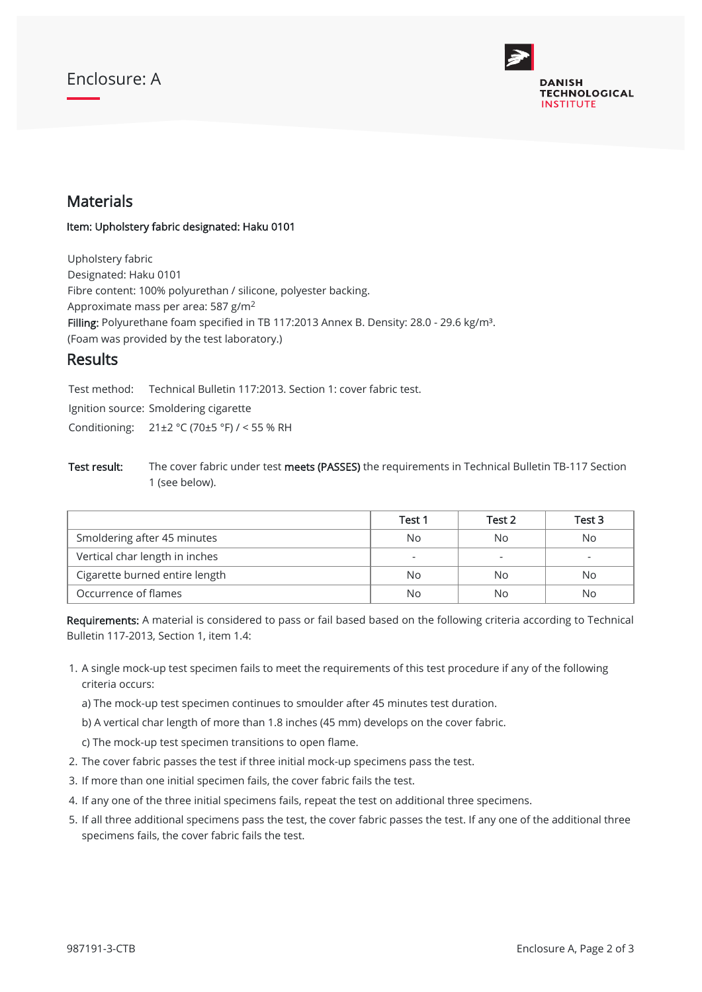### Enclosure: A



### Materials

#### Item: Upholstery fabric designated: Haku 0101

Upholstery fabric Designated: Haku 0101 Fibre content: 100% polyurethan / silicone, polyester backing. Approximate mass per area: 587 g/m $^2$ Filling: Polyurethane foam specified in TB 117:2013 Annex B. Density: 28.0 - 29.6 kg/m<sup>3</sup>. (Foam was provided by the test laboratory.)

### **Results**

Test method: Technical Bulletin 117:2013. Section 1: cover fabric test.

Ignition source: Smoldering cigarette

Conditioning: 21±2 °C (70±5 °F) / < 55 % RH

Test result: The cover fabric under test meets (PASSES) the requirements in Technical Bulletin TB-117 Section 1 (see below).

|                                | Test 1                   | Test 2 | Test 3 |
|--------------------------------|--------------------------|--------|--------|
| Smoldering after 45 minutes    | No.                      | No     | No.    |
| Vertical char length in inches | $\overline{\phantom{a}}$ | -      |        |
| Cigarette burned entire length | No.                      | Nο     | No     |
| Occurrence of flames           | No                       | No     | No     |

Requirements: A material is considered to pass or fail based based on the following criteria according to Technical Bulletin 117-2013, Section 1, item 1.4:

- 1. A single mock-up test specimen fails to meet the requirements of this test procedure if any of the following criteria occurs:
	- a) The mock-up test specimen continues to smoulder after 45 minutes test duration.
	- b) A vertical char length of more than 1.8 inches (45 mm) develops on the cover fabric.
	- c) The mock-up test specimen transitions to open flame.
- 2. The cover fabric passes the test if three initial mock-up specimens pass the test.
- 3. If more than one initial specimen fails, the cover fabric fails the test.
- 4. If any one of the three initial specimens fails, repeat the test on additional three specimens.
- 5. If all three additional specimens pass the test, the cover fabric passes the test. If any one of the additional three specimens fails, the cover fabric fails the test.